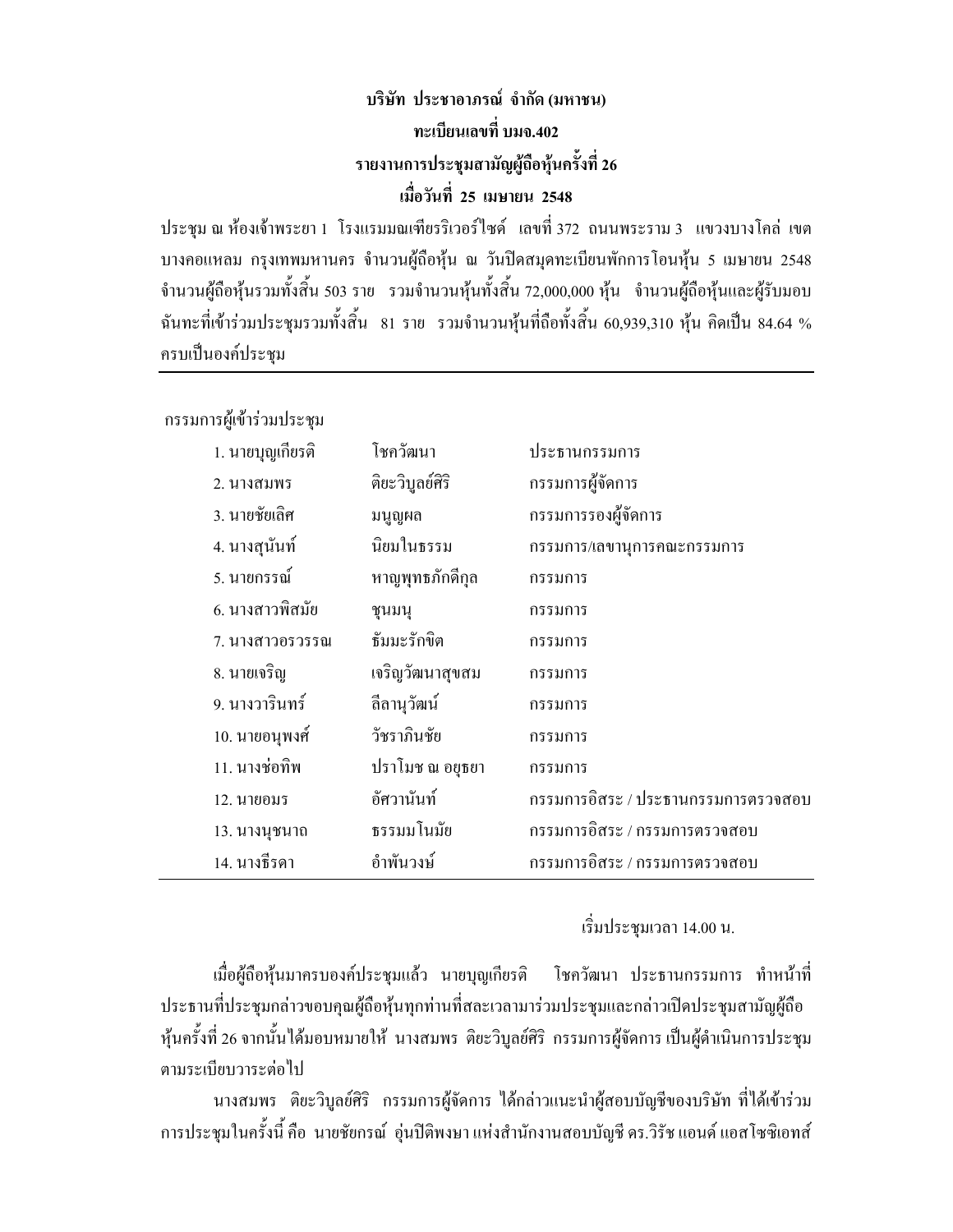# บริษัท ประชาอาภรณ์ จำกัด (มหาชน) ิทะเบียนเลขที่ บมจ.402 รายงานการประชุมสามัญผู้ถือหุ้นครั้งที่ 26 เมื่อวันที่ 25 เมษายน 2548

ประชุม ณ ห้องเจ้าพระยา 1 โรงแรมมณเฑียรริเวอร์ใซด์ เลขที่ 372 ถนนพระราม 3 แขวงบางโคล่ เขต บางคอแหลม กรุงเทพมหานคร จำนวนผู้ถือหุ้น ณ วันปิดสมุดทะเบียนพักการโอนหุ้น 5 เมษายน 2548 ้จำนวนผู้ถือหุ้นรวมทั้งสิ้น 503 ราย รวมจำนวนหุ้นทั้งสิ้น 72,000,000 หุ้น จำนวนผู้ถือหุ้นและผู้รับมอบ ฉันทะที่เข้าร่วมประชุมรวมทั้งสิ้น 81 ราย รวมจำนวนหุ้นที่ถือทั้งสิ้น 60,939,310 หุ้น คิดเป็น 84.64 % ครบเป็นองค์ประชุม

กรรมการผู้เข้าร่วมประชุม

| 1. นายบุญเกียรติ | โชควัฒนา        | ประธานกรรมการ                       |
|------------------|-----------------|-------------------------------------|
| 2. นางสมพร       | ดิยะวิบูลย์ศิริ | กรรมการผู้จัดการ                    |
| 3. นายชัยเลิศ    | มนูญผล          | กรรมการรองผู้จัดการ                 |
| 4. นางสุนันท์    | นิยมในธรรม      | กรรมการ/เลขานุการคณะกรรมการ         |
| 5. นายกรรณ์      | หาญพุทธภักดีกุล | กรรมการ                             |
| 6. นางสาวพิสมัย  | ชุนมนุ          | กรรมการ                             |
| 7. นางสาวอรวรรณ  | ธัมมะรักขิต     | กรรมการ                             |
| 8. นายเจริญ      | เจริญวัฒนาสุขสม | กรรมการ                             |
| 9. นางวารินทร์   | ลีลานุวัฒน์     | กรรมการ                             |
| 10. นายอนุพงศ์   | วัชราภินชัย     | กรรมการ                             |
| 11. นางช่อทิพ    | ปราโมช ณ อยุธยา | กรรมการ                             |
| 12. นายอมร       | อัศวานันท์      | กรรมการอิสระ / ประธานกรรมการตรวจสอบ |
| 13. นางนุชนาถ    | ธรรมมโนมัย      | กรรมการอิสระ / กรรมการตรวจสอบ       |
| 14. นางธีรดา     | อำพันวงษ์       | กรรมการอิสระ / กรรมการตรวจสอบ       |

เริ่มประชุมเวลา 14.00 น.

เมื่อผู้ถือหุ้นมาครบองค์ประชุมแล้ว นายบุญเกียรติ โชควัฒนา ประธานกรรมการ ทำหน้าที่ ประธานที่ประชุมกล่าวขอบคุณผู้ถือหุ้นทุกท่านที่สละเวลามาร่วมประชุมและกล่าวเปิดประชุมสามัญผู้ถือ หุ้นครั้งที่ 26 จากนั้นได้มอบหมายให้ นางสมพร ติยะวิบุลย์ศิริ กรรมการผู้จัดการ เป็นผู้ดำเนินการประชุม ตามระเบียบวาระต่อไป

นางสมพร ติยะวิบูลย์ศิริ กรรมการผู้จัดการ ใด้กล่าวแนะนำผู้สอบบัญชีของบริษัท ที่ได้เข้าร่วม การประชุมในครั้งนี้ คือ นายชัยกรณ์ อุ่นปีติพงษา แห่งสำนักงานสอบบัญชี คร.วิรัช แอนด์ แอสโซซิเอทส์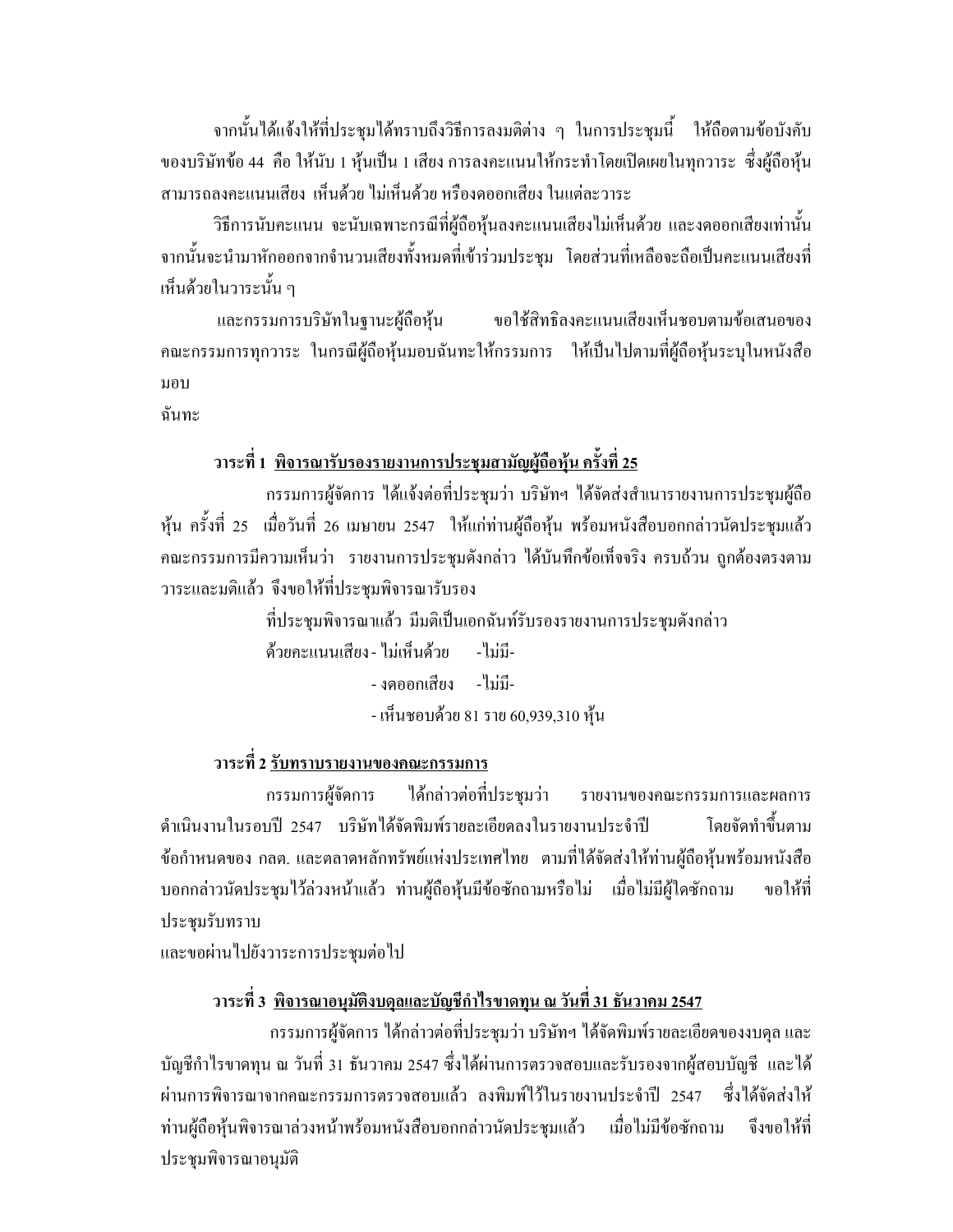ิจากนั้นได้แจ้งให้ที่ประชุมได้ทราบถึงวิธีการลงมติต่าง ๆ ในการประชุมนี้ ให้ถือตามข้อบังคับ ี ของบริษัทข้อ 44 คือ ให้นับ 1 หุ้นเป็น 1 เสียง การลงคะแนนให้กระทำโดยเปิดเผยในทุกวาระ ซึ่งผู้ถือหุ้น สามารถลงคะแนนเสียง เห็นด้วย ไม่เห็นด้วย หรืองดออกเสียง ในแต่ละวาระ

้วิธีการนับคะแนน จะนับเฉพาะกรณีที่ผู้ถือหุ้นลงคะแนนเสียงไม่เห็นด้วย และงดออกเสียงเท่านั้น ิจากนั้นจะนำมาหักออกจากจำนวนเสียงทั้งหมดที่เข้าร่วมประชุม โดยส่วนที่เหลือจะถือเป็นคะแนนเสียงที่ เห็บด้วยใบวาระบั้น ๆ

ขอใช้สิทธิลงคะแนนเสียงเห็นชอบตามข้อเสนอของ และกรรมการบริษัทในฐานะผู้ถือหุ้น ้ คณะกรรมการทุกวาระ ในกรณีผู้ถือหุ้นมอบฉันทะให้กรรมการ ให้เป็นไปตามที่ผู้ถือหุ้นระบุในหนังสือ มอบ

ฉับทะ

## ้วาระที่ 1 <u>พิจารณารับรองรายงานการประชุมสามัญผู้ถือหุ้น ครั้งที่ 25</u>

ึกรรมการผู้จัดการ ได้แจ้งต่อที่ประชุมว่า บริษัทฯ ได้จัดส่งสำเนารายงานการประชุมผู้ถือ ี่หุ้น ครั้งที่ 25 เมื่อวันที่ 26 เมษายน 2547 ให้แก่ท่านผู้ถือหุ้น พร้อมหนังสือบอกกล่าวนัดประชุมแล้ว ึคณะกรรมการมีความเห็นว่า รายงานการประชุมดังกล่าว ได้บันทึกข้อเท็จจริง ครบถ้วน ถูกต้องตรงตาม วาระและมติแล้ว จึงขอให้ที่ประชุมพิจารณารับรอง

> ที่ประชุมพิจารณาแล้ว มีมติเป็นเอกฉันท์รับรองรายงานการประชุมดังกล่าว ด้วยคะแนนเสียง - ไม่เห็นด้วย - ไม่มี-- งดออกเสียง - ไม่มี-

- เห็นชอบด้วย 81 ราย 60,939,310 หุ้น

## ้วาระที่ 2 รับทราบรายงานของคณะกรรมการ

ึกรรมการผู้จัดการ ใด้กล่าวต่อที่ประชุมว่า รายงานของคณะกรรมการและผลการ ้คำเนินงานในรอบปี 2547 บริษัทได้จัดพิมพ์รายละเอียดลงในรายงานประจำปี โดยจัดทำขึ้นตาม ข้อกำหนดของ กลต. และตลาดหลักทรัพย์แห่งประเทศไทย ตามที่ได้จัดส่งให้ท่านผู้ถือหุ้นพร้อมหนังสือ ี บอกกล่าวนัดประชุมไว้ล่วงหน้าแล้ว ท่านผู้ถือหุ้นมีข้อซักถามหรือไม่ เมื่อไม่มีผู้ใดซักถาม <sub>ี</sub><br>ขอให้ที่ ประชุมรับทราบ

และขอผ่านไปยังวาระการประชุมต่อไป

## ้วาระที่ 3 <u>พิจารณาอนุมัติงบดุลและบัญชีกำไรขาดทุน ณ วันที่ 31 ธันวาคม 2547</u>

ึกรรมการผู้จัดการ ได้กล่าวต่อที่ประชุมว่า บริษัทฯ ได้จัดพิมพ์รายละเอียดของงบดุล และ บัญชีกำไรขาดทน ณ วันที่ 31 ธันวาคม 2547 ซึ่งได้ผ่านการตรวจสอบและรับรองจากผ้สอบบัญชี และได้ ผ่านการพิจารณาจากคณะกรรมการตรวจสอบแล้ว ลงพิมพ์ไว้ในรายงานประจำปี 2547 ซึ่งได้จัดส่งให้ เมื่อไม่มีข้อซักถาม ท่านผู้ถือหุ้นพิจารณาล่วงหน้าพร้อมหนังสือบอกกล่าวนัดประชุมแล้ว จึงขอให้ที่ ประชุมพิจารณาอนุมัติ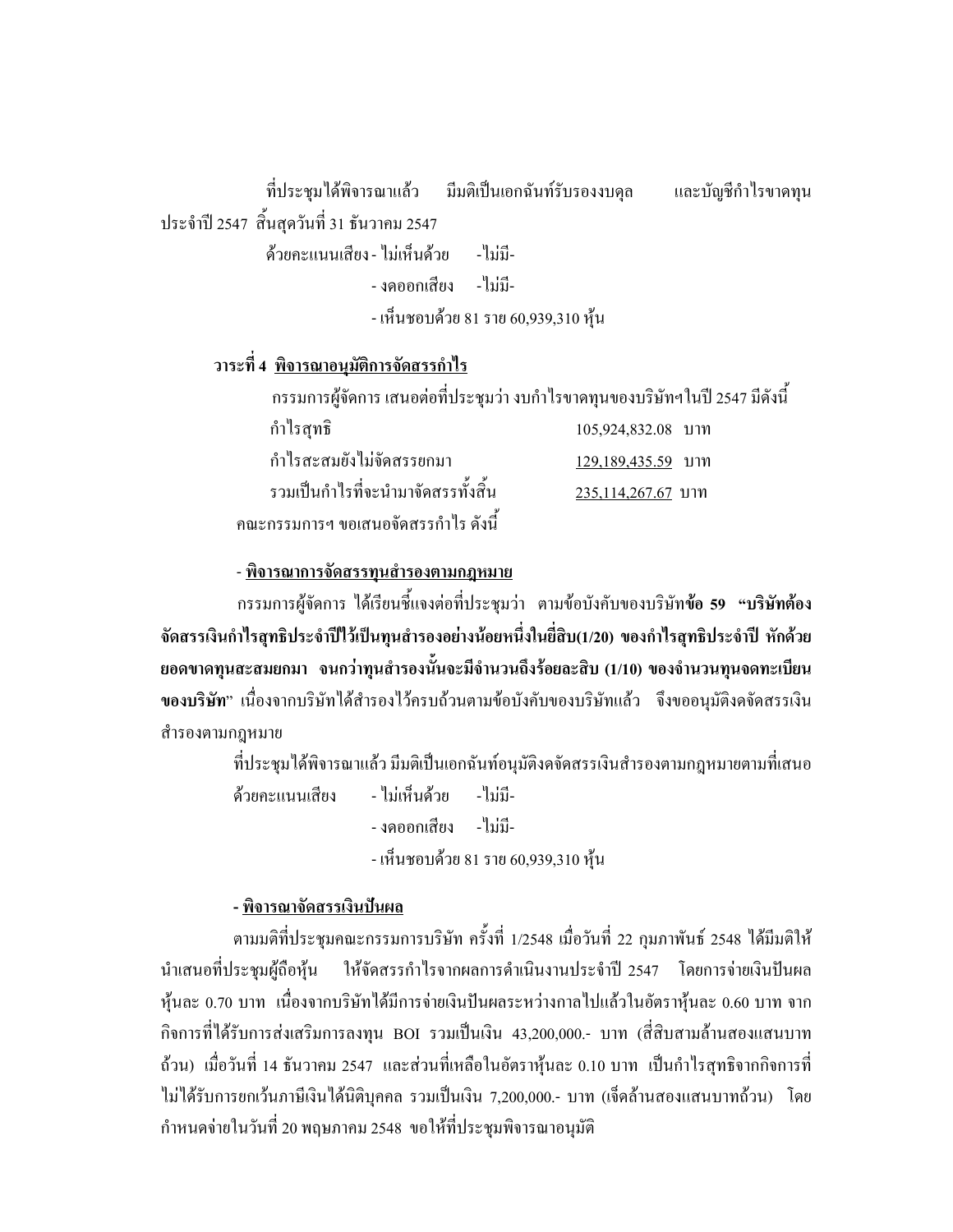ที่ประชมใด้พิจารณาแล้ว มีมติเป็นเอกฉันท์รับรองงบคล และบัญชีกำไรขาดทน ประจำปี 2547 สิ้นสุดวันที่ 31 ธันวาคม 2547 ้ด้วยคะแนนเสียง - ไม่เห็นด้วย -ไม่มี-

- งดออกเสียง - ไม่มี-- เห็นชอบด้วย 81 ราย 60,939,310 หุ้น

### <u>วาระที่ 4 พิจารณาอนุมัติการจัดสรรกำไร</u>

|                                       | ี กรรมการผู้จัดการ เสนอต่อที่ประชุมว่า งบกำไรขาดทุนของบริษัทฯในปี 2547 มีดังนี้ |
|---------------------------------------|---------------------------------------------------------------------------------|
| กำไรสุทธิ                             | 105,924,832.08 บาท                                                              |
| กำไรสะสมยังไม่จัดสรรยกมา              | 129,189,435.59 บาท                                                              |
| รวมเป็นกำไรที่จะนำมาจัดสรรทั้งสิ้น    | 235,114,267.67 บาท                                                              |
| ึ คณะกรรมการฯ ขอเสนอจัดสรรกำไร ดังนี้ |                                                                                 |

#### <u>- พิจารณาการจัดสรรทุนสำรองตามกฎหมาย</u>

ิกรรมการผู้จัดการ ได้เรียนชี้แจงต่อที่ประชุมว่า ตามข้อบังคับของบริษัท**ข้อ 59 "บริษัทต้อง** จัดสรรเงินกำไรสุทธิประจำปีใว้เป็นทุนสำรองอย่างน้อยหนึ่งในยี่สิบ(1/20) ของกำไรสุทธิประจำปี หักด้วย ยอดขาดทุนสะสมยกมา จนกว่าทุนสำรองนั้นจะมีจำนวนถึงร้อยละสิบ (1/10) ของจำนวนทุนจดทะเบียน ของบริษัท" เนื่องจากบริษัทใค้สำรองไว้ครบถ้วนตามข้อบังคับของบริษัทแล้ว จึงขออนุมัติงคจัคสรรเงิน สำรองตามกฎหมาย

ที่ประชุมได้พิจารณาแล้ว มีมติเป็นเอกฉันท์อนุมัติงคจัดสรรเงินสำรองตามกฎหมายตามที่เสนอ

- ไบ่เห็บด้าย ด้วยคะแบบเสียง -ไบ่บี-- งดกกกเสียง - ไม่มี-- เห็นชอบด้วย 81 ราย 60,939,310 หุ้น

#### - พิจารณาจัดสรรเงินปันผล

ิตามมติที่ประชุมคณะกรรมการบริษัท ครั้งที่ 1/2548 เมื่อวันที่ 22 กุมภาพันธ์ 2548 ได้มีมติให้ ี นำเสนอที่ประชุมผู้ถือหุ้น ให้จัดสรรกำไรจากผลการดำเนินงานประจำปี 2547 โดยการจ่ายเงินปันผล ี หุ้นละ 0.70 บาท เนื่องจากบริษัทได้มีการจ่ายเงินปันผลระหว่างกาลไปแล้วในอัตราหุ้นละ 0.60 บาท จาก ้กิจการที่ได้รับการส่งเสริมการลงทุน BOI รวมเป็นเงิน 43,200,000.- บาท (สี่สิบสามล้านสองแสนบาท ถ้วน) เมื่อวันที่ 14 ธันวาคม 2547 และส่วนที่เหลือในอัตราหุ้นละ 0.10 บาท เป็นกำไรสุทธิจากกิจการที่ ไม่ได้รับการยกเว้นภาษีเงินได้นิติบุคคล รวมเป็นเงิน 7,200,000.- บาท (เจ็คล้านสองแสนบาทถ้วน) โดย ้กำหนดจ่ายในวันที่ 20 พฤษภาคม 2548 ขอให้ที่ประชุมพิจารณาอนุมัติ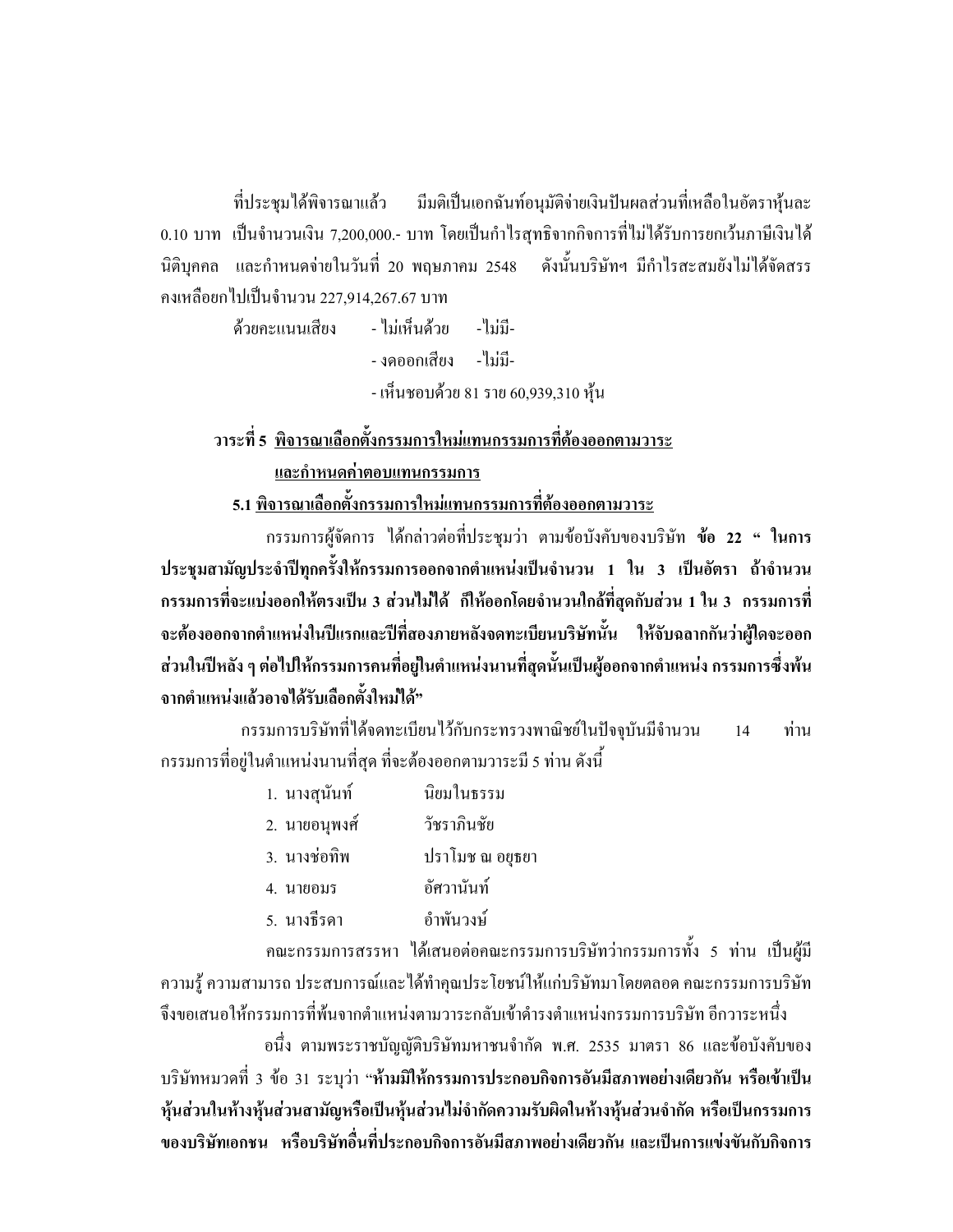ที่ประชุมได้พิจารณาแล้ว มีมติเป็นเอกฉันท์อนุมัติจ่ายเงินปันผลส่วนที่เหลือในอัตราหุ้นละ 0.10 บาท เป็นจำนวนเงิน 7,200,000.- บาท โดยเป็นกำไรสุทธิจากกิจการที่ไม่ได้รับการยกเว้นภาษีเงินได้ นิติบุคคล และกำหนดจ่ายในวันที่ 20 พฤษภาคม 2548 ดังนั้นบริษัทฯ มีกำไรสะสมยังไม่ได้จัดสรร ้คงเหลือยกไปเป็นจำนวน 227,914,267.67 บาท

> ้ด้วยคะแนนเสียง - ไม่เห็นด้วย - ไม่มี-- งดออกเสียง - ไม่กี-- เห็นชอบด้วย 81 ราย 60,939,310 หุ้น

ิ วาระที่ 5 พิจารณาเลือกตั้งกรรมการใหม่แทนกรรมการที่ต้องออกตามวาระ

และกำหนดค่าตอบแทนกรรมการ

5.1 พิจารณาเลือกตั้งกรรมการใหม่แทนกรรมการที่ต้องออกตามวาระ

กรรมการผู้จัดการ ใด้กล่าวต่อที่ประชุมว่า ตามข้อบังคับของบริษัท **ข้อ 22 " ในการ** ประชุมสามัญประจำปีทุกครั้งให้กรรมการออกจากตำแหน่งเป็นจำนวน 1 ใน 3 เป็นอัตรา ถ้าจำนวน ี กรรมการที่จะแบ่งออกให้ตรงเป็น 3 ส่วนไม่ได้ ก็ให้ออกโดยจำนวนใกล้ที่สุดกับส่วน 1 ใน 3 กรรมการที่ จะต้องออกจากตำแหน่งในปีแรกและปีที่สองภายหลังจดทะเบียนบริษัทนั้น ให้จับฉลากกันว่าผู้ใดจะออก ส่วนในปีหลัง ๆ ต่อไปให้กรรมการคนที่อยู่ในตำแหน่งนานที่สุดนั้นเป็นผู้ออกจากตำแหน่ง กรรมการซึ่งพ้น จากตำแหน่งแล้วอาจได้รับเลือกตั้งใหม่ได้"

้กรรมการบริษัทที่ได้จดทะเบียนไว้กับกระทรวงพาณิชย์ในปัจจุบันมีจำนวน ท่าน  $14$ ี กรรมการที่อยู่ในตำแหน่งนานที่สุด ที่จะต้องออกตามวาระมี 5 ท่าน ดังนี้

| 1. นางสุนันท์ | นิยมในธรรม      |
|---------------|-----------------|
| 2. นายอนุพงศ์ | วัชราภินชัย     |
| 3. นางช่อทิพ  | ปราโมช ณ อยุธยา |
| 4. นายอมร     | อัศวานันท์      |
| 5. นางธีรดา   | อำพันวงษ์       |

ึ คณะกรรมการสรรหา ใด้เสนอต่อคณะกรรมการบริษัทว่ากรรมการทั้ง 5 ท่าน เป็นผู้มี ้ความรู้ ความสามารถ ประสบการณ์และใด้ทำคุณประโยชน์ให้แก่บริษัทมาโดยตลอด คณะกรรมการบริษัท

จึงขอเสนอให้กรรมการที่พ้นจากตำแหน่งตามวาระกลับเข้าดำรงตำแหน่งกรรมการบริษัท อีกวาระหนึ่ง ือนึ่ง ตามพระราชบัญญัติบริษัทมหาชนจำกัด พ.ศ. 2535 มาตรา 86 และข้อบังคับของ ้บริษัทหมวดที่ 3 ข้อ 31 ระบุว่า "ห้ามมิให้กรรมการประกอบกิจการอันมีสภาพอย่างเดียวกัน หรือเข้าเป็น หุ้นส่วนในห้างหุ้นส่วนสามัญหรือเป็นหุ้นส่วนไม่จำกัดความรับผิดในห้างหุ้นส่วนจำกัด หรือเป็นกรรมการ ของบริษัทเอกชน หรือบริษัทอื่นที่ประกอบกิจการอันมีสภาพอย่างเดียวกัน และเป็นการแข่งขันกับกิจการ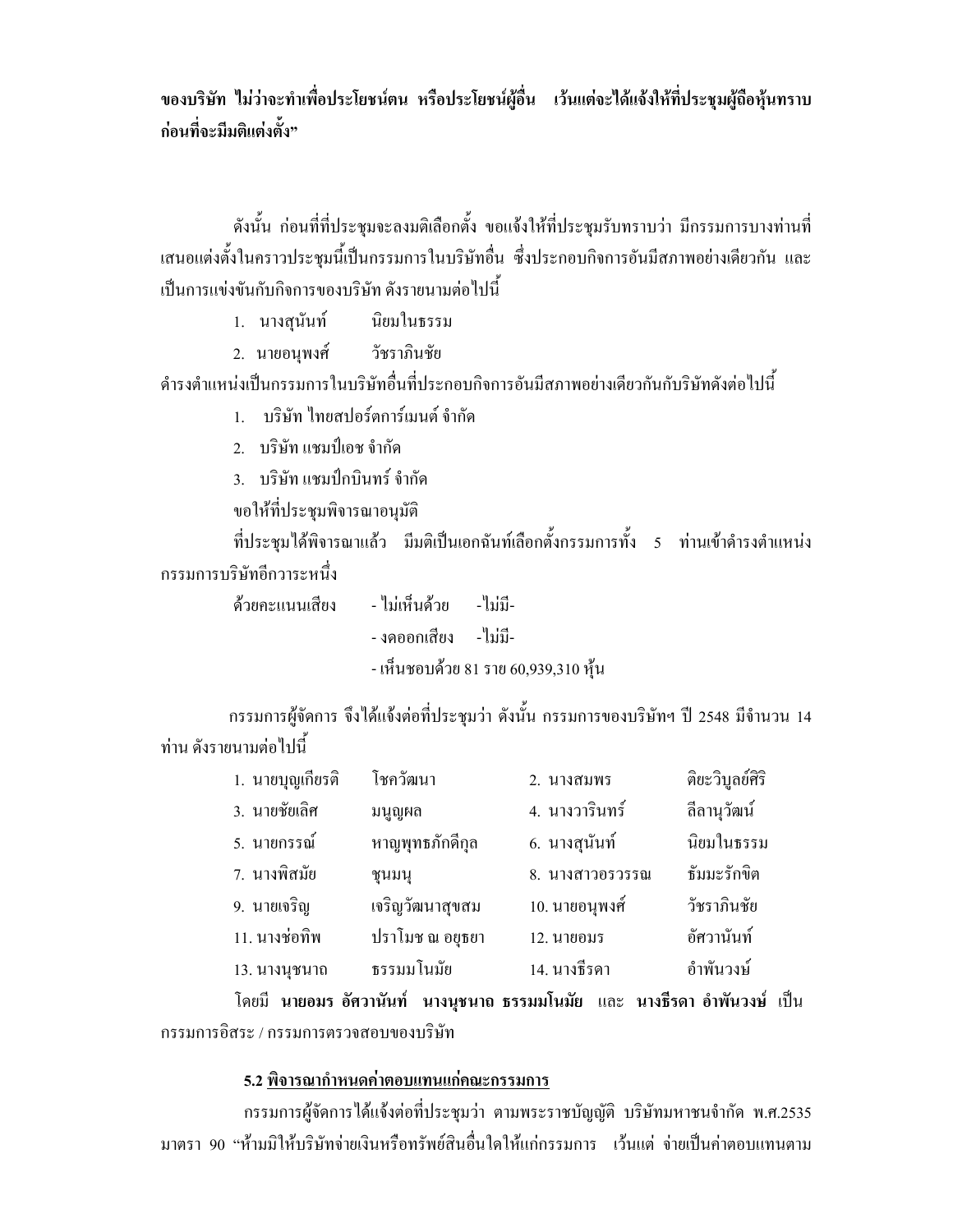ของบริษัท ไม่ว่าจะทำเพื่อประโยชน์ตน หรือประโยชน์ผู้อื่น เว้นแต่จะได้แจ้งให้ที่ประชุมผู้ถือหุ้นทราบ ก่อนที่จะมีมติแต่งตั้ง"

้ดังนั้น ก่อนที่ที่ประชมจะลงมติเลือกตั้ง ขอแจ้งให้ที่ประชมรับทราบว่า มีกรรมการบางท่านที่ เสนอแต่งตั้งในคราวประชุมนี้เป็นกรรมการในบริษัทอื่น ซึ่งประกอบกิจการอันมีสภาพอย่างเดียวกัน และ ้เป็นการแข่งขันกับกิจการของบริษัท ดังรายนามต่อไปนี้

- 1. นางสุนันท์ นิยมในธรรม
- 2. นายอนุพงศ์ วัชราภินชัย

้ดำรงตำแหน่งเป็นกรรมการในบริษัทอื่นที่ประกอบกิจการอันมีสภาพอย่างเดียวกันกับริษัทดังต่อไปนี้

1 - บริษัท ไทยสปอร์ตการ์เบบต์ จำกัด

2. บริษัท แชมป์เอช จำกัด

3. บริษัท แชมป์กบินทร์ จำกัด

ขอให้ที่ประชุมพิจารณาอนุมัติ

ที่ประชุมได้พิจารณาแล้ว มีมติเป็นเอกฉันท์เลือกตั้งกรรมการทั้ง 5 ท่านเข้าดำรงตำแหน่ง กรรมการบริษัทอีกวาระหนึ่ง

> - ไบ่เห็บด้วย - ไบ่บี-ด้ายคะแบบเสียง - งดออกเสียง - ไม่มี-

- เห็นชอบด้วย 81 ราย 60,939,310 ห้น

ึกรรมการผู้จัดการ จึงได้แจ้งต่อที่ประชุมว่า ดังนั้น กรรมการของบริษัทฯ ปี 2548 มีจำนวน 14 ท่าน ดังรายนามต่อไปนี้

| 1. นายบุญเกียรติ | โชควัฒนา        | 2. นางสมพร      | ดิยะวิบูลย์ศิริ |
|------------------|-----------------|-----------------|-----------------|
| 3. นายชัยเลิศ    | มนูญผล          | 4. นางวารินทร์  | ลีลานุวัฒน์     |
| 5. นายกรรณ์      | หาญพุทธภักดีกล  | 6. นางสุนันท์   | นิยมในธรรม      |
| 7. นางพิสมัย     | ชุนมนุ          | 8. นางสาวอรวรรณ | ธัมมะรักขิต     |
| 9. นายเจริญ      | เจริญวัฒนาสุขสม | 10. นายอนุพงศ์  | วัชราภินชัย     |
| 11. นางช่อทิพ    | ปราโมช ณ อยุธยา | 12. นายอมร      | อัศวานันท์      |
| 13. นางนุชนาถ    | ธรรมมโนมัย      | 14. นางธีรดา    | อำพันวงษ์       |
|                  |                 |                 |                 |

โดยมี นายอมร อัศวานันท์ นางนุชนาถ ธรรมมโนมัย และ นางธีรดา อำพันวงษ์ เป็น กรรมการดิสระ / กรรมการตรวจสอบของบริษัท

#### 5.2 พิจารณากำหนดค่าตอบแทนแก่คณะกรรมการ

กรรมการผู้จัดการได้แจ้งต่อที่ประชุมว่า ตามพระราชบัญญัติ บริษัทมหาชนจำกัด พ.ศ.2535 มาตรา 90 "ห้ามมิให้บริษัทจ่ายเงินหรือทรัพย์สินอื่นใดให้แก่กรรมการ เว้นแต่ จ่ายเป็นค่าตอบแทนตาม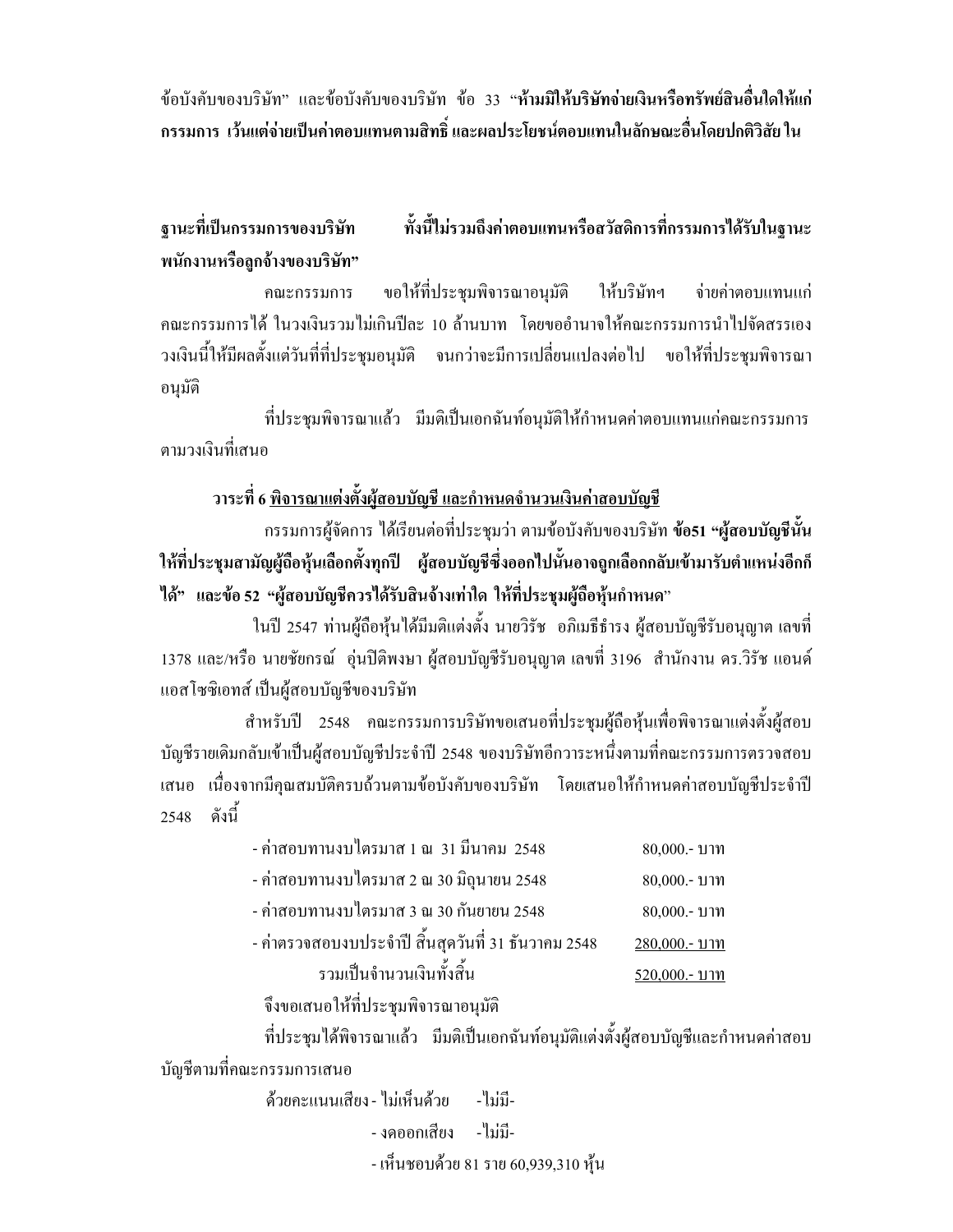ข้อบังคับของบริษัท" และข้อบังคับของบริษัท ข้อ 33 "ห้ามมิให้บริ<mark>ษัทจ่ายเงินหรือทรัพย์สินอื่นใดให้แก่</mark> ิ กรรมการ เว้นแต่จ่ายเป็นค่าตอบแทนตามสิทธิ์ และผลประโยชน์ตอบแทนในลักษณะอื่นโดยปกติวิสัย ใน

ฐานะที่เป็นกรรมการของบริษัท ทั้งนี้ไม่รวมถึงค่าตอบแทนหรือสวัสดิการที่กรรมการได้รับในฐานะ พนักงานหรือลูกจ้างของบริษัท"

ขอให้ที่ประชุมพิจารณาอนุมัติ ให้บริษัทฯ จ่ายค่าตอบแทนแก่ คณะกรรมการ ึคณะกรรมการได้ ในวงเงินรวมไม่เกินปีละ 10 ล้านบาท โดยขออำนาจให้คณะกรรมการนำไปจัดสรรเอง ้วงเงินนี้ให้มีผลตั้งแต่วันที่ที่ประชุมอนุมัติ จนกว่าจะมีการเปลี่ยนแปลงต่อไป ขอให้ที่ประชุมพิจารณา อนมัติ

ที่ประชุมพิจารณาแล้ว มีมติเป็นเอกฉันท์อนุมัติให้กำหนดค่าตอบแทนแก่คณะกรรมการ ตาบางเงิบที่เสบค

#### ิ วาระที่ 6 <u>พิจารณาแต่งตั้งผู้สอบบัญชี และกำหนดจำนวนเงินค่าสอบบัญช</u>ี

ี กรรมการผู้จัดการ ได้เรียนต่อที่ประชุมว่า ตามข้อบังคับของบริษัท **ข้อ51 "ผู้สอบบัญชีนั้น** ให้ที่ประชุมสามัญผู้ถือหุ้นเลือกตั้งทุกปี ผู้สอบบัญชีซึ่งออกไปนั้นอาจถูกเลือกกลับเข้ามารับตำแหน่งอีกก็ ได้" และข้อ 52 "ผู้สอบบัญชีควรได้รับสินจ้างเท่าใด ให้ที่ประชุมผู้ถือหุ้นกำหนด"

ในปี 2547 ท่านผู้ถือหุ้นใด้มีมติแต่งตั้ง นายวิรัช อภิเมธีธำรง ผู้สอบบัญชีรับอนุญาต เลขที่ 1378 และ/หรือ นายชัยกรณ์ อุ่นปีติพงษา ผู้สอบบัญชีรับอนุญาต เลขที่ 3196 สำนักงาน คร.วิรัช แอนด์ แอสโซซิเอทส์ เป็นผู้สอบบัญชีของบริษัท

ี สำหรับปี 2548 คณะกรรมการบริษัทขอเสนอที่ประชุมผู้ถือหุ้นเพื่อพิจารณาแต่งตั้งผู้สอบ บัญชีรายเดิมกลับเข้าเป็นผู้สอบบัญชีประจำปี 2548 ของบริษัทอีกวาระหนึ่งตามที่คณะกรรมการตรวจสอบ เสนอ เนื่องจากมีคุณสมบัติครบถ้วนตามข้อบังคับของบริษัท โดยเสนอให้กำหนดค่าสอบบัญชีประจำปี 2548 ดังบี้

| - ค่าสอบทานงบไตรมาส 1 ณ 31 มีนาคม 2548              | $80,000 - 11$ าท |
|-----------------------------------------------------|------------------|
| - ค่าสอบทานงบไตรมาส 2 ณ 30 มิถุนายน 2548            | 80,000 .- บาท    |
| - ค่าสอบทานงบไตรมาส 3 ณ 30 กันยายน 2548             | 80,000 .- บาท    |
| - ค่าตรวจสอบงบประจำปี สิ้นสุดวันที่ 31 ธันวาคม 2548 | 280,000 .- บาท   |
| รวมเป็นจำนวนเงินทั้งสิ้น                            | 520,000 .- บาท   |

จึงขอเสนอให้ที่ประชุมพิจารณาอนุมัติ

ที่ประชุมใด้พิจารณาแล้ว มีมติเป็นเอกฉันท์อนุมัติแต่งตั้งผู้สอบบัญชีและกำหนดค่าสอบ บัญชีตามที่คณะกรรมการเสนอ

> ด้วยคะแนนเสียง - ไม่เห็นด้วย - ไม่มี-- งดออกเสียง - ไม่มี-- เห็นชอบด้วย 81 ราย 60,939,310 หุ้น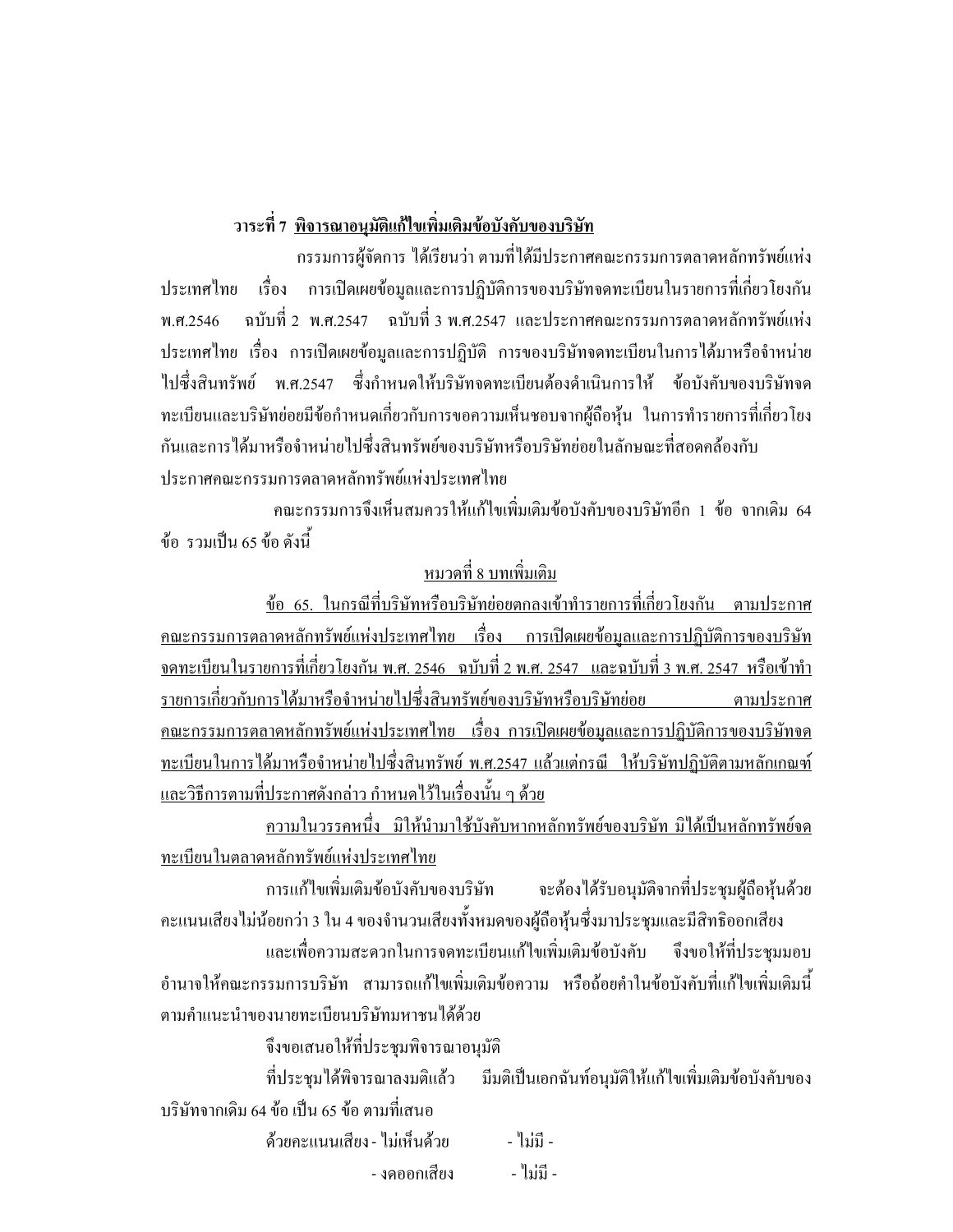## ้วาระที่ 7 <u>พิจารณาอนุมัติแก้ไขเพิ่มเติมข้อบังคับของบริษัท</u>

ี กรรมการผู้จัดการ ได้เรียนว่า ตามที่ได้มีประกาศคณะกรรมการตลาดหลักทรัพย์แห่ง ประเทศไทย เรื่อง การเปิดเผยข้อมูลและการปฏิบัติการของบริษัทจดทะเบียนในรายการที่เกี่ยวโยงกัน ิฉบับที่ 2 พ.ศ.2547 ฉบับที่ 3 พ.ศ.2547 และประกาศคณะกรรมการตลาดหลักทรัพย์แห่ง พ.ศ.2546 ิ ประเทศไทย เรื่อง การเปิดเผยข้อมูลและการปฏิบัติ การของบริษัทจดทะเบียนในการได้มาหรือจำหน่าย ไปซึ่งสินทรัพย์ พ.ศ.2547 ซึ่งกำหนดให้บริษัทจดทะเบียนต้องดำเนินการให้ ข้อบังคับของบริษัทจด ทะเบียนและบริษัทย่อยมีข้อกำหนดเกี่ยวกับการขอความเห็นชอบจากผู้ถือห้น ในการทำรายการที่เกี่ยวโยง กันและการได้มาหรือจำหน่ายไปซึ่งสินทรัพย์ของบริษัทหรือบริษัทย่อยในลักษณะที่สอดคล้องกับ ประกาศคณะกรรมการตลาดหลักทรัพย์แห่งประเทศไทย

คณะกรรมการจึงเห็นสมควรให้แก้ไขเพิ่มเติมข้อบังคับของบริษัทอีก 1 ข้อ จากเดิม 64 ข้อ รวมเป็น 65 ข้อ ดังนี้

## <u>หมวดที่ 8 บทเพิ่มเติม</u>

<u>ข้อ 65. ในกรณีที่บริษัทหรือบริษัทย่อยตกลงเข้าทำรายการที่เกี่ยวโยงกัน ตามประกาศ</u> <u> คณะกรรมการตลาดหลักทรัพย์แห่งประเทศไทย เรื่อง การเปิดเผยข้อมูลและการปฏิบัติการของบริษัท</u> <u>ิจคทะเบียนในรายการที่เกี่ยวโยงกัน พ.ศ. 2546 ฉบับที่ 2 พ.ศ. 2547 และฉบับที่ 3 พ.ศ. 2547 หรือเข้าทำ</u> รายการเกี่ยวกับการใค้มาหรือจำหน่ายไปซึ่งสินทรัพย์ของบริษัทหรือบริษัทย่อย ตามประกาศ ึ คณะกรรมการตลาดหลักทรัพย์แห่งประเทศไทย เรื่อง การเปิดเผยข้อมูลและการปฏิบัติการของบริษัทจด ึทะเบียนในการได้มาหรือจำหน่ายไปซึ่งสินทรัพย์ พ.ศ.2547 แล้วแต่กรณี ให้บริษัทปฏิบัติตามหลักเกณฑ์ <u>และวิธีการตามที่ประกาศดังกล่าว กำหนดไว้ในเรื่องนั้น ๆ ด้วย</u>

้ความในวรรคหนึ่ง มิให้นำมาใช้บังคับหากหลักทรัพย์ของบริษัท มิได้เป็นหลักทรัพย์จด ทะเบียนในตลาดหลักทรัพย์แห่งประเทศไทย

การแก้ไขเพิ่มเติมข้อบังคับของบริษัท จะต้องใด้รับอนุมัติจากที่ประชุมผู้ถือหุ้นด้วย ้คะแนนเสียงไม่น้อยกว่า 3 ใน 4 ของจำนวนเสียงทั้งหมดของผู้ถือหุ้นซึ่งมาประชุมและมีสิทธิออกเสียง

และเพื่อความสะควกในการจดทะเบียนแก้ไขเพิ่มเติมข้อบังคับ จึงขอให้ที่ประชมมอบ ้อำนาจให้คณะกรรมการบริษัท สามารถแก้ไขเพิ่มเติมข้อความ หรือถ้อยคำในข้อบังคับที่แก้ไขเพิ่มเติมนี้ ตามคำแนะนำของนายทะเบียนบริษัทมหาชนใด้ด้วย

จึงขอเสนอให้ที่ประชุมพิจารณาอนุมัติ

มีมติเป็นเอกฉันท์อนุมัติให้แก้ไขเพิ่มเติมข้อบังคับของ ที่ประชุมได้พิจารณาลงมติแล้ว บริษัทจากเดิม 64 ข้อ เป็น 65 ข้อ ตามที่เสนอ ด้วยคะแนนเสียง - ไม่เห็นด้วย - ไม่มี -- งดออกเสียง - ไม่มี -